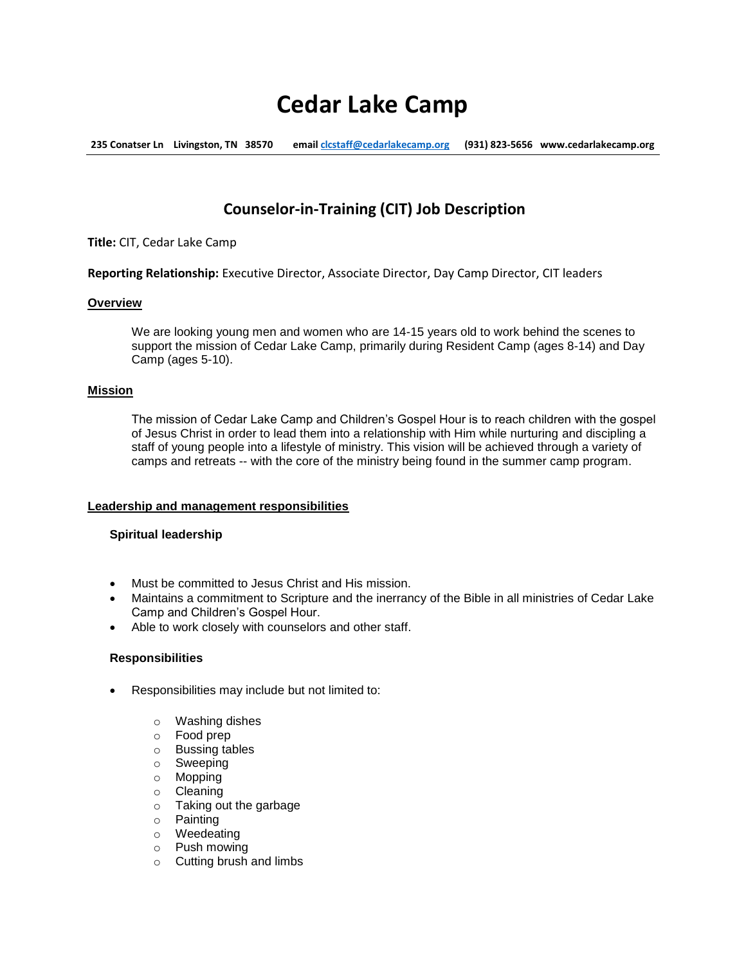# **Cedar Lake Camp**

**235 Conatser Ln Livingston, TN 38570 emai[l clcstaff@cedarlakecamp.org](mailto:clcstaff@cedarlakecamp.org) (931) 823-5656 www.cedarlakecamp.org**

# **Counselor-in-Training (CIT) Job Description**

**Title:** CIT, Cedar Lake Camp

**Reporting Relationship:** Executive Director, Associate Director, Day Camp Director, CIT leaders

#### **Overview**

We are looking young men and women who are 14-15 years old to work behind the scenes to support the mission of Cedar Lake Camp, primarily during Resident Camp (ages 8-14) and Day Camp (ages 5-10).

# **Mission**

The mission of Cedar Lake Camp and Children's Gospel Hour is to reach children with the gospel of Jesus Christ in order to lead them into a relationship with Him while nurturing and discipling a staff of young people into a lifestyle of ministry. This vision will be achieved through a variety of camps and retreats -- with the core of the ministry being found in the summer camp program.

# **Leadership and management responsibilities**

# **Spiritual leadership**

- Must be committed to Jesus Christ and His mission.
- Maintains a commitment to Scripture and the inerrancy of the Bible in all ministries of Cedar Lake Camp and Children's Gospel Hour.
- Able to work closely with counselors and other staff.

#### **Responsibilities**

- Responsibilities may include but not limited to:
	- o Washing dishes
	- o Food prep
	- o Bussing tables
	- o Sweeping
	- o Mopping
	- o Cleaning
	- o Taking out the garbage
	- o Painting
	- o Weedeating
	- o Push mowing
	- o Cutting brush and limbs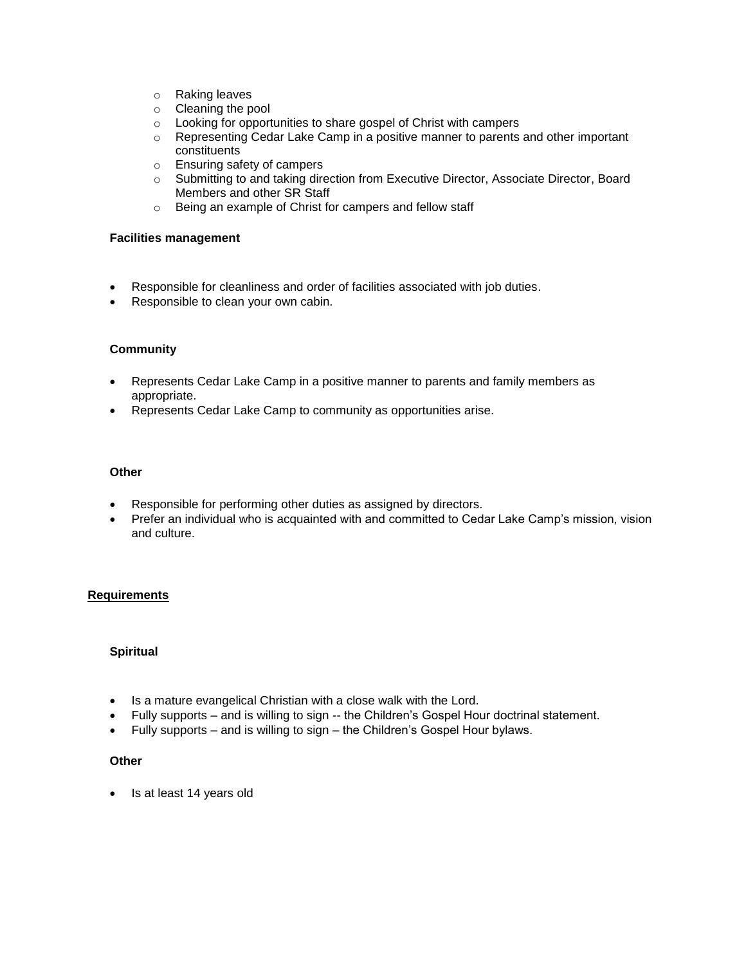- o Raking leaves
- o Cleaning the pool
- o Looking for opportunities to share gospel of Christ with campers
- o Representing Cedar Lake Camp in a positive manner to parents and other important constituents
- o Ensuring safety of campers
- o Submitting to and taking direction from Executive Director, Associate Director, Board Members and other SR Staff
- o Being an example of Christ for campers and fellow staff

## **Facilities management**

- Responsible for cleanliness and order of facilities associated with job duties.
- Responsible to clean your own cabin.

# **Community**

- Represents Cedar Lake Camp in a positive manner to parents and family members as appropriate.
- Represents Cedar Lake Camp to community as opportunities arise.

### **Other**

- Responsible for performing other duties as assigned by directors.
- Prefer an individual who is acquainted with and committed to Cedar Lake Camp's mission, vision and culture.

# **Requirements**

#### **Spiritual**

- Is a mature evangelical Christian with a close walk with the Lord.
- Fully supports and is willing to sign -- the Children's Gospel Hour doctrinal statement.
- Fully supports and is willing to sign the Children's Gospel Hour bylaws.

#### **Other**

• Is at least 14 years old